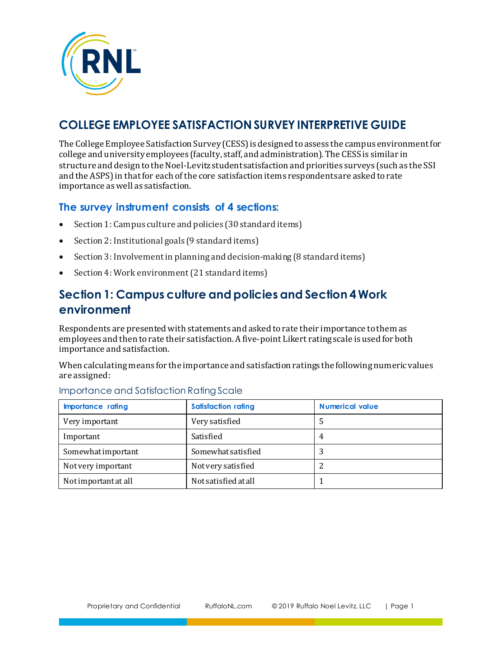

# **COLLEGE EMPLOYEE SATISFACTION SURVEY INTERPRETIVE GUIDE**

The College Employee Satisfaction Survey (CESS) is designed to assess the campus environment for college and university employees (faculty, staff, and administration). The CESS is similar in structure and design to the Noel-Levitz student satisfaction and priorities surveys (such as the SSI and the ASPS) in that for each of the core satisfaction items respondents are asked to rate importance as well as satisfaction.

#### **The survey instrument consists of 4 sections:**

- Section 1: Campus culture and policies (30 standard items)
- Section 2: Institutional goals (9 standard items)
- Section 3: Involvement in planning and decision-making (8 standard items)
- Section 4: Work environment (21 standard items)

## **Section 1: Campus culture and policies and Section 4 Work environment**

Respondents are presented with statements and asked to rate their importance to them as employees and then to rate their satisfaction. A five-point Likert rating scale is used for both importance and satisfaction.

When calculating means for the importance and satisfaction ratings the following numeric values are assigned:

| <b>Importance rating</b> | <b>Satisfaction rating</b> | <b>Numerical value</b> |
|--------------------------|----------------------------|------------------------|
| Very important           | Very satisfied             | כ                      |
| Important                | Satisfied                  | 4                      |
| Somewhatimportant        | Somewhat satisfied         | J                      |
| Not very important       | Not very satisfied         |                        |
| Notimportant at all      | Not satisfied at all       |                        |

#### Importance and Satisfaction Rating Scale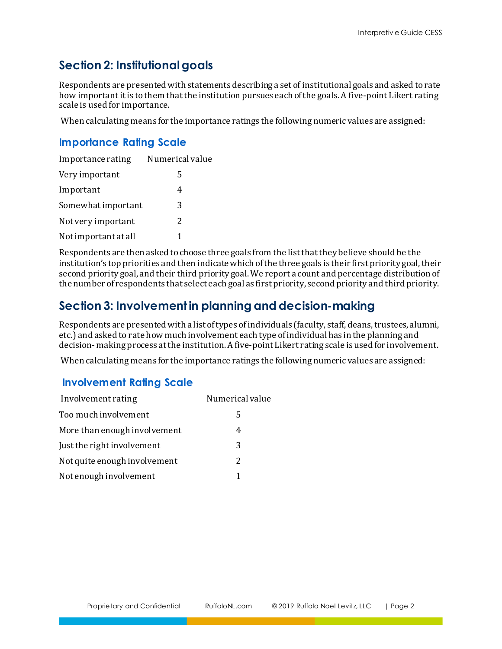## **Section 2: Institutional goals**

Respondents are presented with statements describing a set of institutional goals and asked to rate how important it is to them that the institution pursues each of the goals. A five-point Likert rating scale is used for importance.

When calculating means for the importance ratings the following numeric values are assigned:

### **Importance Rating Scale**

| Importance rating    | Numerical value |
|----------------------|-----------------|
| Very important       | 5               |
| Important            | 4               |
| Somewhat important   | 3               |
| Not very important   | 2               |
| Not important at all | 1               |

Respondents are then asked to choose three goals from the list that they believe should be the institution's top priorities and then indicate which of the three goals is their first priority goal, their second priority goal, and their third priority goal. We report a count and percentage distribution of the number of respondents that select each goal as first priority, second priority and third priority.

## **Section 3: Involvement in planning and decision-making**

Respondents are presented with a list of types of individuals (faculty, staff, deans, trustees, alumni, etc.) and asked to rate how much involvement each type of individual has in the planning and decision- making process at the institution. A five-point Likert rating scale is used for involvement.

When calculating means for the importance ratings the following numeric values are assigned:

#### **Involvement Rating Scale**

| Involvement rating           | Numerical value |
|------------------------------|-----------------|
| Too much involvement         | 5               |
| More than enough involvement | 4               |
| Just the right involvement   | 3               |
| Not quite enough involvement | 2               |
| Not enough involvement       | 1               |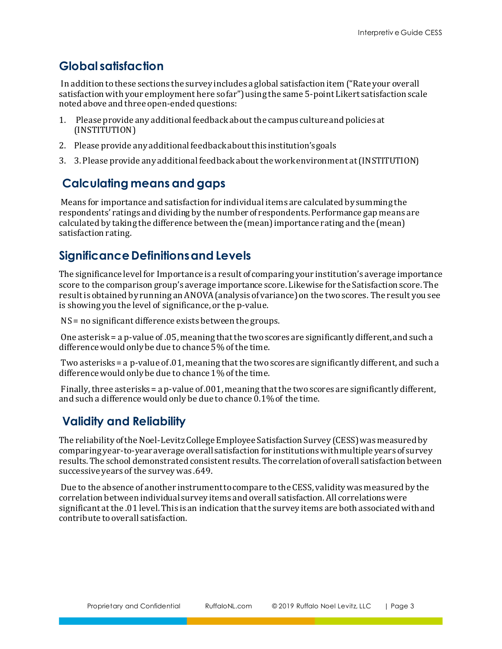### **Global satisfaction**

In addition to these sections the survey includes a global satisfaction item ("Rate your overall satisfaction with your employment here so far") using the same 5-point Likert satisfaction scale noted above and three open-ended questions:

- 1. Please provide any additional feedback about the campus culture and policies at (INSTITUTION)
- 2. Please provide any additional feedback about this institution's goals
- 3. 3. Please provide any additional feedback about the work environment at (INSTITUTION)

## **Calculating means and gaps**

Means for importance and satisfaction for individual items are calculated by summing the respondents' ratings and dividing by the number of respondents. Performance gap means are calculated by taking the difference between the (mean) importance rating and the (mean) satisfaction rating.

### **Significance Definitions and Levels**

The significance level for Importance is a result of comparing your institution's average importance score to the comparison group's average importance score. Likewise for the Satisfaction score. The result is obtained by running an ANOVA (analysis of variance) on the two scores. The result you see is showing you the level of significance, or the p-value.

NS = no significant difference exists between the groups.

One asterisk = a p-value of .05, meaning that the two scores are significantly different, and such a difference would only be due to chance 5% of the time.

Two asterisks = a p-value of .01, meaning that the two scores are significantly different, and such a difference would only be due to chance 1% of the time.

Finally, three asterisks = a p-value of .001, meaning that the two scores are significantly different, and such a difference would only be due to chance 0.1% of the time.

## **Validity and Reliability**

The reliability of the Noel-Levitz College Employee Satisfaction Survey (CESS) was measured by comparing year-to-year average overall satisfaction for institutions with multiple years of survey results. The school demonstrated consistent results. The correlation of overall satisfaction between successive years of the survey was .649.

Due to the absence of another instrument to compare to the CESS, validity was measured by the correlation between individual survey items and overall satisfaction. All correlations were significant at the .01 level. This is an indication that the survey items are both associated with and contribute to overall satisfaction.